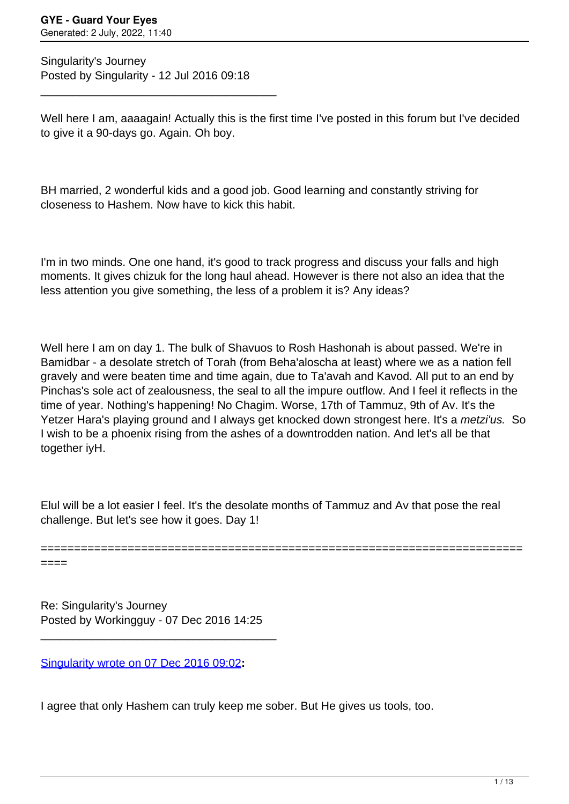Singularity's Journey Posted by Singularity - 12 Jul 2016 09:18

\_\_\_\_\_\_\_\_\_\_\_\_\_\_\_\_\_\_\_\_\_\_\_\_\_\_\_\_\_\_\_\_\_\_\_\_\_

Well here I am, aaaagain! Actually this is the first time I've posted in this forum but I've decided to give it a 90-days go. Again. Oh boy.

BH married, 2 wonderful kids and a good job. Good learning and constantly striving for closeness to Hashem. Now have to kick this habit.

I'm in two minds. One one hand, it's good to track progress and discuss your falls and high moments. It gives chizuk for the long haul ahead. However is there not also an idea that the less attention you give something, the less of a problem it is? Any ideas?

Well here I am on day 1. The bulk of Shavuos to Rosh Hashonah is about passed. We're in Bamidbar - a desolate stretch of Torah (from Beha'aloscha at least) where we as a nation fell gravely and were beaten time and time again, due to Ta'avah and Kavod. All put to an end by Pinchas's sole act of zealousness, the seal to all the impure outflow. And I feel it reflects in the time of year. Nothing's happening! No Chagim. Worse, 17th of Tammuz, 9th of Av. It's the Yetzer Hara's playing ground and I always get knocked down strongest here. It's a metzi'us. So I wish to be a phoenix rising from the ashes of a downtrodden nation. And let's all be that together iyH.

Elul will be a lot easier I feel. It's the desolate months of Tammuz and Av that pose the real challenge. But let's see how it goes. Day 1!

======================================================================== ====

Re: Singularity's Journey Posted by Workingguy - 07 Dec 2016 14:25

\_\_\_\_\_\_\_\_\_\_\_\_\_\_\_\_\_\_\_\_\_\_\_\_\_\_\_\_\_\_\_\_\_\_\_\_\_

[Singularity wrote on 07 Dec 2016 09:02](/forum/4-On-the-Way-to-90-Days/299320-Re-Singularitys-Journey)**:**

I agree that only Hashem can truly keep me sober. But He gives us tools, too.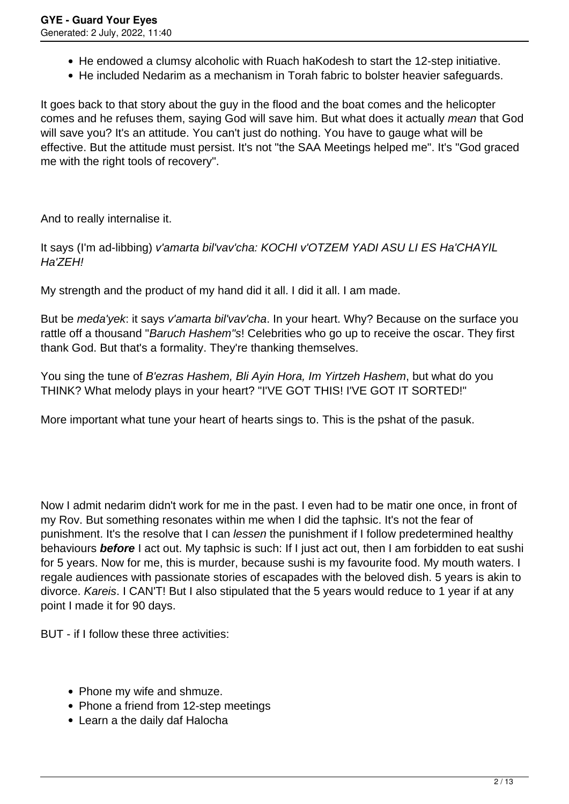- He endowed a clumsy alcoholic with Ruach haKodesh to start the 12-step initiative.
- He included Nedarim as a mechanism in Torah fabric to bolster heavier safeguards.

It goes back to that story about the guy in the flood and the boat comes and the helicopter comes and he refuses them, saying God will save him. But what does it actually mean that God will save you? It's an attitude. You can't just do nothing. You have to gauge what will be effective. But the attitude must persist. It's not "the SAA Meetings helped me". It's "God graced me with the right tools of recovery".

And to really internalise it.

It says (I'm ad-libbing) v'amarta bil'vav'cha: KOCHI v'OTZEM YADI ASU LI ES Ha'CHAYIL Ha'ZEH!

My strength and the product of my hand did it all. I did it all. I am made.

But be *meda'vek*: it says *v'amarta bil'vav'cha*. In your heart. Why? Because on the surface you rattle off a thousand "Baruch Hashem"s! Celebrities who go up to receive the oscar. They first thank God. But that's a formality. They're thanking themselves.

You sing the tune of B'ezras Hashem, Bli Ayin Hora, Im Yirtzeh Hashem, but what do you THINK? What melody plays in your heart? "I'VE GOT THIS! I'VE GOT IT SORTED!"

More important what tune your heart of hearts sings to. This is the pshat of the pasuk.

Now I admit nedarim didn't work for me in the past. I even had to be matir one once, in front of my Rov. But something resonates within me when I did the taphsic. It's not the fear of punishment. It's the resolve that I can lessen the punishment if I follow predetermined healthy behaviours **before** I act out. My taphsic is such: If I just act out, then I am forbidden to eat sushi for 5 years. Now for me, this is murder, because sushi is my favourite food. My mouth waters. I regale audiences with passionate stories of escapades with the beloved dish. 5 years is akin to divorce. Kareis. I CAN'T! But I also stipulated that the 5 years would reduce to 1 year if at any point I made it for 90 days.

BUT - if I follow these three activities:

- Phone my wife and shmuze.
- Phone a friend from 12-step meetings
- Learn a the daily daf Halocha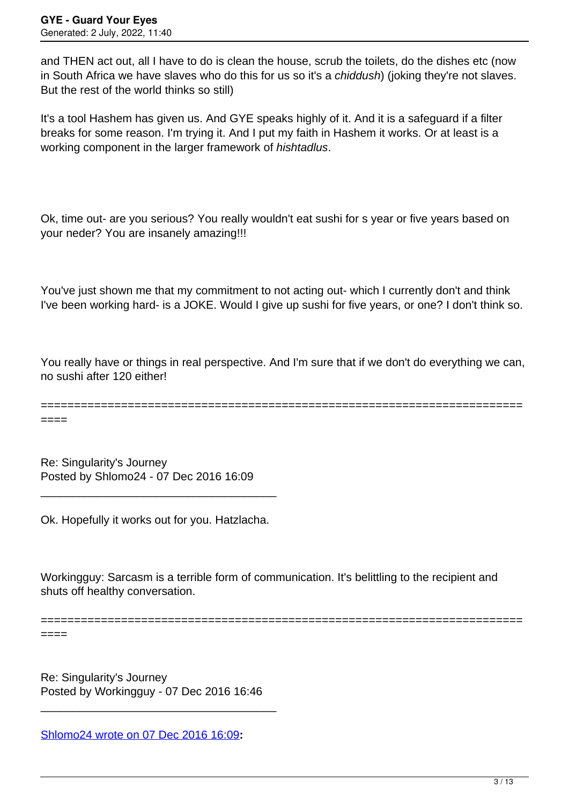and THEN act out, all I have to do is clean the house, scrub the toilets, do the dishes etc (now in South Africa we have slaves who do this for us so it's a *chiddush*) (joking they're not slaves. But the rest of the world thinks so still)

It's a tool Hashem has given us. And GYE speaks highly of it. And it is a safeguard if a filter breaks for some reason. I'm trying it. And I put my faith in Hashem it works. Or at least is a working component in the larger framework of *hishtadlus*.

Ok, time out- are you serious? You really wouldn't eat sushi for s year or five years based on your neder? You are insanely amazing!!!

You've just shown me that my commitment to not acting out- which I currently don't and think I've been working hard- is a JOKE. Would I give up sushi for five years, or one? I don't think so.

You really have or things in real perspective. And I'm sure that if we don't do everything we can, no sushi after 120 either!

========================================================================

====

Re: Singularity's Journey Posted by Shlomo24 - 07 Dec 2016 16:09

Ok. Hopefully it works out for you. Hatzlacha.

\_\_\_\_\_\_\_\_\_\_\_\_\_\_\_\_\_\_\_\_\_\_\_\_\_\_\_\_\_\_\_\_\_\_\_\_\_

Workingguy: Sarcasm is a terrible form of communication. It's belittling to the recipient and shuts off healthy conversation.

========================================================================

====

Re: Singularity's Journey Posted by Workingguy - 07 Dec 2016 16:46

\_\_\_\_\_\_\_\_\_\_\_\_\_\_\_\_\_\_\_\_\_\_\_\_\_\_\_\_\_\_\_\_\_\_\_\_\_

[Shlomo24 wrote on 07 Dec 2016 16:09](/forum/4-On-the-Way-to-90-Days/299343-Re-Singularitys-Journey)**:**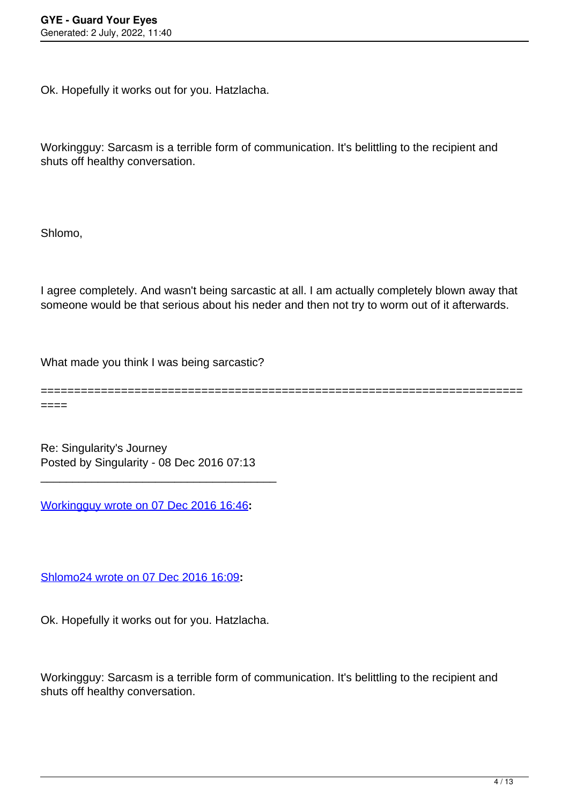Ok. Hopefully it works out for you. Hatzlacha.

Workingguy: Sarcasm is a terrible form of communication. It's belittling to the recipient and shuts off healthy conversation.

Shlomo,

I agree completely. And wasn't being sarcastic at all. I am actually completely blown away that someone would be that serious about his neder and then not try to worm out of it afterwards.

What made you think I was being sarcastic?

======================================================================== ====

Re: Singularity's Journey Posted by Singularity - 08 Dec 2016 07:13

\_\_\_\_\_\_\_\_\_\_\_\_\_\_\_\_\_\_\_\_\_\_\_\_\_\_\_\_\_\_\_\_\_\_\_\_\_

[Workingguy wrote on 07 Dec 2016 16:46](/forum/4-On-the-Way-to-90-Days/299350-Re-Singularitys-Journey)**:**

[Shlomo24 wrote on 07 Dec 2016 16:09](/forum/4-On-the-Way-to-90-Days/299343-Re-Singularitys-Journey)**:**

Ok. Hopefully it works out for you. Hatzlacha.

Workingguy: Sarcasm is a terrible form of communication. It's belittling to the recipient and shuts off healthy conversation.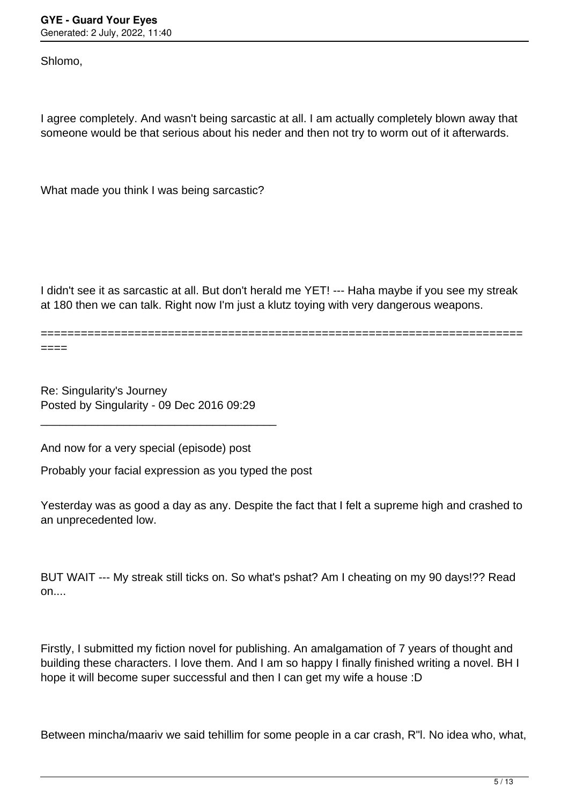Shlomo,

I agree completely. And wasn't being sarcastic at all. I am actually completely blown away that someone would be that serious about his neder and then not try to worm out of it afterwards.

What made you think I was being sarcastic?

I didn't see it as sarcastic at all. But don't herald me YET! --- Haha maybe if you see my streak at 180 then we can talk. Right now I'm just a klutz toying with very dangerous weapons.

======================================================================== ====

Re: Singularity's Journey Posted by Singularity - 09 Dec 2016 09:29

\_\_\_\_\_\_\_\_\_\_\_\_\_\_\_\_\_\_\_\_\_\_\_\_\_\_\_\_\_\_\_\_\_\_\_\_\_

And now for a very special (episode) post

Probably your facial expression as you typed the post

Yesterday was as good a day as any. Despite the fact that I felt a supreme high and crashed to an unprecedented low.

BUT WAIT --- My streak still ticks on. So what's pshat? Am I cheating on my 90 days!?? Read  $on...$ 

Firstly, I submitted my fiction novel for publishing. An amalgamation of 7 years of thought and building these characters. I love them. And I am so happy I finally finished writing a novel. BH I hope it will become super successful and then I can get my wife a house :D

Between mincha/maariv we said tehillim for some people in a car crash, R"l. No idea who, what,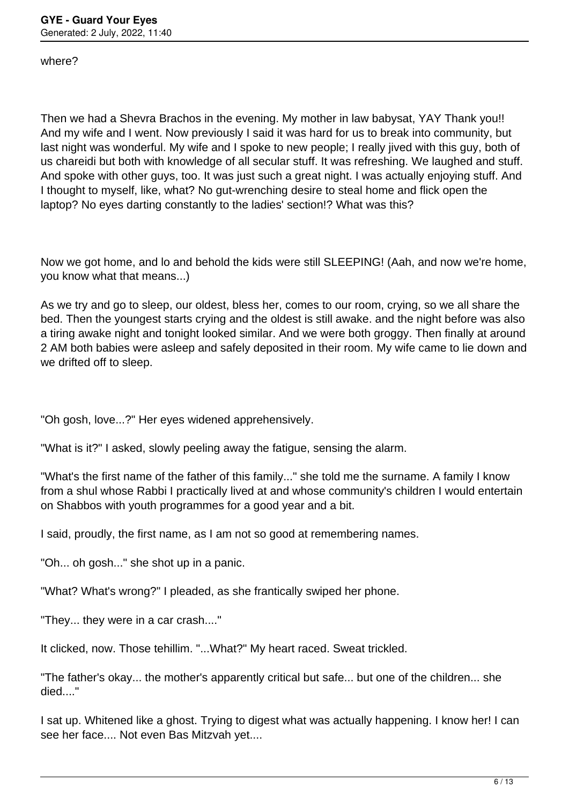where?

Then we had a Shevra Brachos in the evening. My mother in law babysat, YAY Thank you!! And my wife and I went. Now previously I said it was hard for us to break into community, but last night was wonderful. My wife and I spoke to new people; I really jived with this guy, both of us chareidi but both with knowledge of all secular stuff. It was refreshing. We laughed and stuff. And spoke with other guys, too. It was just such a great night. I was actually enjoying stuff. And I thought to myself, like, what? No gut-wrenching desire to steal home and flick open the laptop? No eyes darting constantly to the ladies' section!? What was this?

Now we got home, and lo and behold the kids were still SLEEPING! (Aah, and now we're home, you know what that means...)

As we try and go to sleep, our oldest, bless her, comes to our room, crying, so we all share the bed. Then the youngest starts crying and the oldest is still awake. and the night before was also a tiring awake night and tonight looked similar. And we were both groggy. Then finally at around 2 AM both babies were asleep and safely deposited in their room. My wife came to lie down and we drifted off to sleep.

"Oh gosh, love...?" Her eyes widened apprehensively.

"What is it?" I asked, slowly peeling away the fatigue, sensing the alarm.

"What's the first name of the father of this family..." she told me the surname. A family I know from a shul whose Rabbi I practically lived at and whose community's children I would entertain on Shabbos with youth programmes for a good year and a bit.

I said, proudly, the first name, as I am not so good at remembering names.

"Oh... oh gosh..." she shot up in a panic.

"What? What's wrong?" I pleaded, as she frantically swiped her phone.

"They... they were in a car crash...."

It clicked, now. Those tehillim. "...What?" My heart raced. Sweat trickled.

"The father's okay... the mother's apparently critical but safe... but one of the children... she died...."

I sat up. Whitened like a ghost. Trying to digest what was actually happening. I know her! I can see her face.... Not even Bas Mitzvah yet....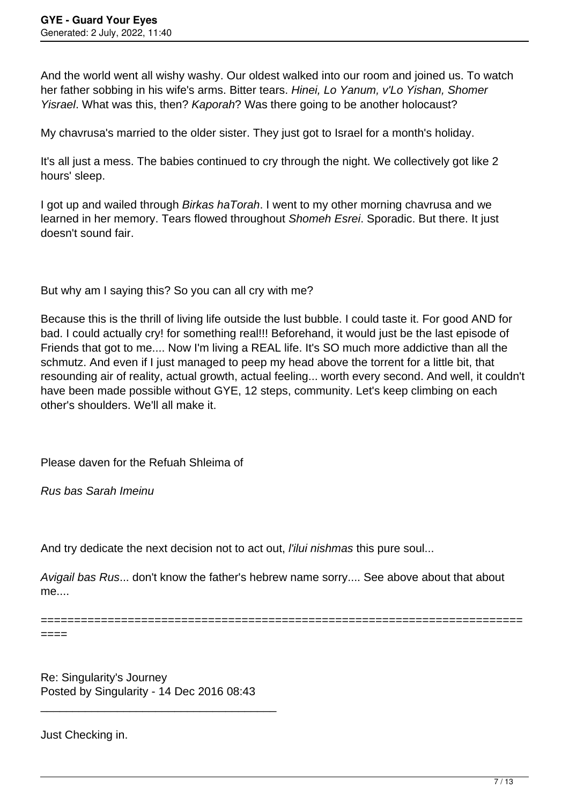And the world went all wishy washy. Our oldest walked into our room and joined us. To watch her father sobbing in his wife's arms. Bitter tears. Hinei, Lo Yanum, v'Lo Yishan, Shomer Yisrael. What was this, then? Kaporah? Was there going to be another holocaust?

My chavrusa's married to the older sister. They just got to Israel for a month's holiday.

It's all just a mess. The babies continued to cry through the night. We collectively got like 2 hours' sleep.

I got up and wailed through *Birkas haTorah*. I went to my other morning chavrusa and we learned in her memory. Tears flowed throughout Shomeh Esrei. Sporadic. But there. It just doesn't sound fair.

But why am I saying this? So you can all cry with me?

Because this is the thrill of living life outside the lust bubble. I could taste it. For good AND for bad. I could actually cry! for something real!!! Beforehand, it would just be the last episode of Friends that got to me.... Now I'm living a REAL life. It's SO much more addictive than all the schmutz. And even if I just managed to peep my head above the torrent for a little bit, that resounding air of reality, actual growth, actual feeling... worth every second. And well, it couldn't have been made possible without GYE, 12 steps, community. Let's keep climbing on each other's shoulders. We'll all make it.

Please daven for the Refuah Shleima of

Rus bas Sarah Imeinu

And try dedicate the next decision not to act out, *l'ilui nishmas* this pure soul...

Avigail bas Rus... don't know the father's hebrew name sorry.... See above about that about me....

========================================================================

====

Re: Singularity's Journey Posted by Singularity - 14 Dec 2016 08:43

\_\_\_\_\_\_\_\_\_\_\_\_\_\_\_\_\_\_\_\_\_\_\_\_\_\_\_\_\_\_\_\_\_\_\_\_\_

Just Checking in.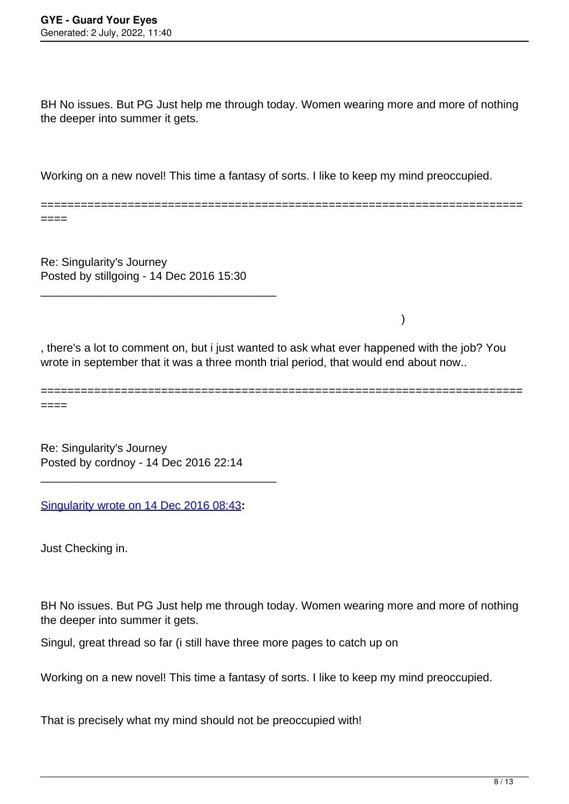BH No issues. But PG Just help me through today. Women wearing more and more of nothing the deeper into summer it gets.

Working on a new novel! This time a fantasy of sorts. I like to keep my mind preoccupied.

======================================================================== ====

Re: Singularity's Journey Posted by stillgoing - 14 Dec 2016 15:30

\_\_\_\_\_\_\_\_\_\_\_\_\_\_\_\_\_\_\_\_\_\_\_\_\_\_\_\_\_\_\_\_\_\_\_\_\_

, there's a lot to comment on, but i just wanted to ask what ever happened with the job? You wrote in september that it was a three month trial period, that would end about now..

)

======================================================================== ====

Re: Singularity's Journey Posted by cordnoy - 14 Dec 2016 22:14

\_\_\_\_\_\_\_\_\_\_\_\_\_\_\_\_\_\_\_\_\_\_\_\_\_\_\_\_\_\_\_\_\_\_\_\_\_

[Singularity wrote on 14 Dec 2016 08:43](/forum/4-On-the-Way-to-90-Days/299888-Re-Singularitys-Journey)**:**

Just Checking in.

BH No issues. But PG Just help me through today. Women wearing more and more of nothing the deeper into summer it gets.

Singul, great thread so far (i still have three more pages to catch up on

Working on a new novel! This time a fantasy of sorts. I like to keep my mind preoccupied.

That is precisely what my mind should not be preoccupied with!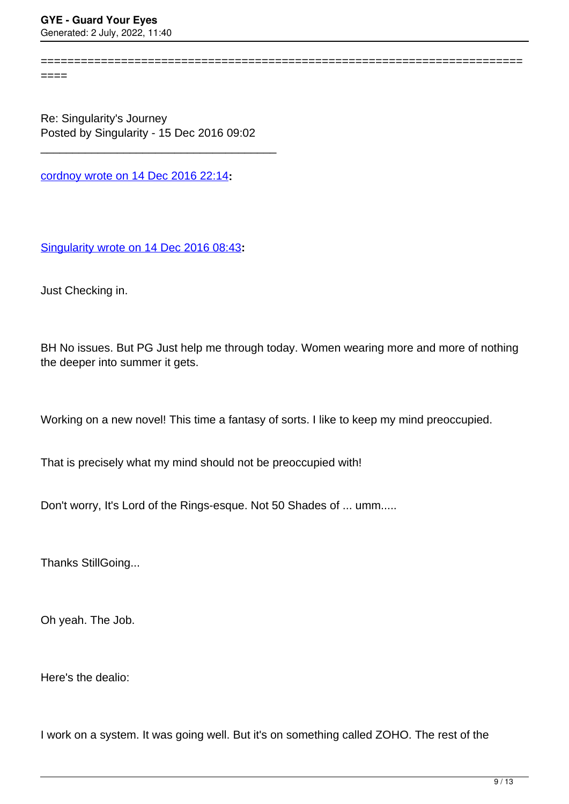$=$ 

Re: Singularity's Journey Posted by Singularity - 15 Dec 2016 09:02

\_\_\_\_\_\_\_\_\_\_\_\_\_\_\_\_\_\_\_\_\_\_\_\_\_\_\_\_\_\_\_\_\_\_\_\_\_

[cordnoy wrote on 14 Dec 2016 22:14](/forum/4-On-the-Way-to-90-Days/299947-Re-Singularitys-Journey)**:**

[Singularity wrote on 14 Dec 2016 08:43](/forum/4-On-the-Way-to-90-Days/299888-Re-Singularitys-Journey)**:**

Just Checking in.

BH No issues. But PG Just help me through today. Women wearing more and more of nothing the deeper into summer it gets.

========================================================================

Working on a new novel! This time a fantasy of sorts. I like to keep my mind preoccupied.

That is precisely what my mind should not be preoccupied with!

Don't worry, It's Lord of the Rings-esque. Not 50 Shades of ... umm.....

Thanks StillGoing...

Oh yeah. The Job.

Here's the dealio:

I work on a system. It was going well. But it's on something called ZOHO. The rest of the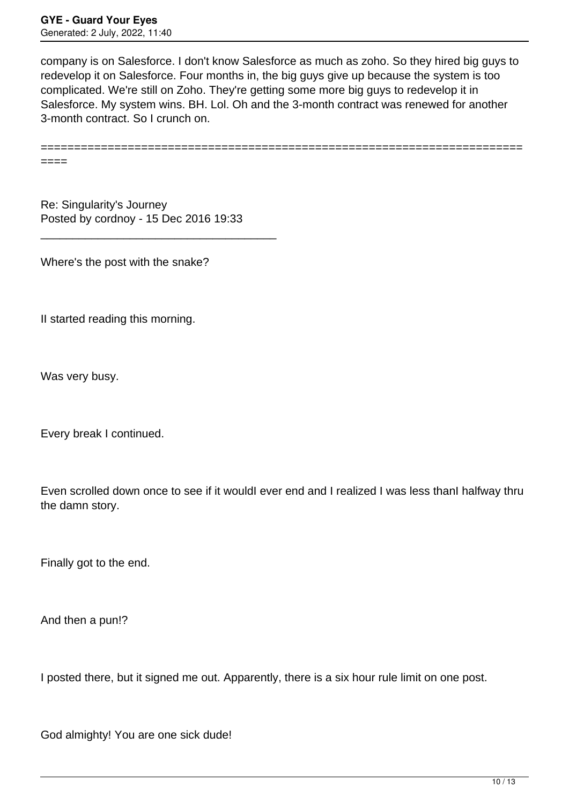company is on Salesforce. I don't know Salesforce as much as zoho. So they hired big guys to redevelop it on Salesforce. Four months in, the big guys give up because the system is too complicated. We're still on Zoho. They're getting some more big guys to redevelop it in Salesforce. My system wins. BH. Lol. Oh and the 3-month contract was renewed for another 3-month contract. So I crunch on.

========================================================================

Re: Singularity's Journey Posted by cordnoy - 15 Dec 2016 19:33

\_\_\_\_\_\_\_\_\_\_\_\_\_\_\_\_\_\_\_\_\_\_\_\_\_\_\_\_\_\_\_\_\_\_\_\_\_

Where's the post with the snake?

II started reading this morning.

Was very busy.

====

Every break I continued.

Even scrolled down once to see if it wouldI ever end and I realized I was less thanI halfway thru the damn story.

Finally got to the end.

And then a pun!?

I posted there, but it signed me out. Apparently, there is a six hour rule limit on one post.

God almighty! You are one sick dude!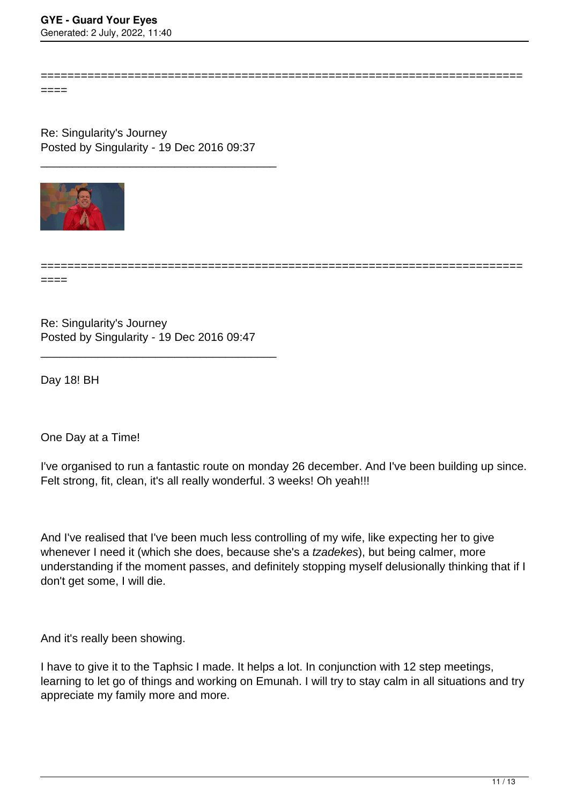========================================================================

====

Re: Singularity's Journey Posted by Singularity - 19 Dec 2016 09:37

\_\_\_\_\_\_\_\_\_\_\_\_\_\_\_\_\_\_\_\_\_\_\_\_\_\_\_\_\_\_\_\_\_\_\_\_\_



========================================================================

Re: Singularity's Journey Posted by Singularity - 19 Dec 2016 09:47

\_\_\_\_\_\_\_\_\_\_\_\_\_\_\_\_\_\_\_\_\_\_\_\_\_\_\_\_\_\_\_\_\_\_\_\_\_

Day 18! BH

====

One Day at a Time!

I've organised to run a fantastic route on monday 26 december. And I've been building up since. Felt strong, fit, clean, it's all really wonderful. 3 weeks! Oh yeah!!!

And I've realised that I've been much less controlling of my wife, like expecting her to give whenever I need it (which she does, because she's a *tzadekes*), but being calmer, more understanding if the moment passes, and definitely stopping myself delusionally thinking that if I don't get some, I will die.

And it's really been showing.

I have to give it to the Taphsic I made. It helps a lot. In conjunction with 12 step meetings, learning to let go of things and working on Emunah. I will try to stay calm in all situations and try appreciate my family more and more.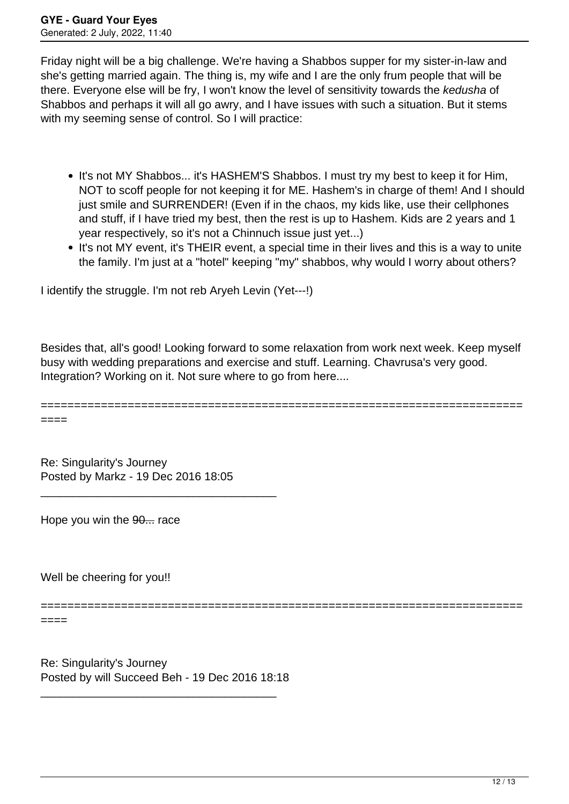Friday night will be a big challenge. We're having a Shabbos supper for my sister-in-law and she's getting married again. The thing is, my wife and I are the only frum people that will be there. Everyone else will be fry, I won't know the level of sensitivity towards the kedusha of Shabbos and perhaps it will all go awry, and I have issues with such a situation. But it stems with my seeming sense of control. So I will practice:

- It's not MY Shabbos... it's HASHEM'S Shabbos. I must try my best to keep it for Him, NOT to scoff people for not keeping it for ME. Hashem's in charge of them! And I should just smile and SURRENDER! (Even if in the chaos, my kids like, use their cellphones and stuff, if I have tried my best, then the rest is up to Hashem. Kids are 2 years and 1 year respectively, so it's not a Chinnuch issue just yet...)
- It's not MY event, it's THEIR event, a special time in their lives and this is a way to unite the family. I'm just at a "hotel" keeping "my" shabbos, why would I worry about others?

I identify the struggle. I'm not reb Aryeh Levin (Yet---!)

Besides that, all's good! Looking forward to some relaxation from work next week. Keep myself busy with wedding preparations and exercise and stuff. Learning. Chavrusa's very good. Integration? Working on it. Not sure where to go from here....

========================================================================

====

Re: Singularity's Journey Posted by Markz - 19 Dec 2016 18:05

\_\_\_\_\_\_\_\_\_\_\_\_\_\_\_\_\_\_\_\_\_\_\_\_\_\_\_\_\_\_\_\_\_\_\_\_\_

Hope you win the 90... race

Well be cheering for you!!

========================================================================

====

Re: Singularity's Journey Posted by will Succeed Beh - 19 Dec 2016 18:18

\_\_\_\_\_\_\_\_\_\_\_\_\_\_\_\_\_\_\_\_\_\_\_\_\_\_\_\_\_\_\_\_\_\_\_\_\_